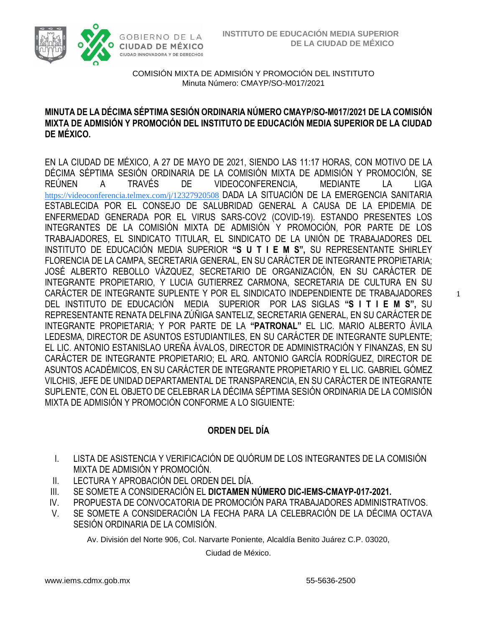

### **MINUTA DE LA DÉCIMA SÉPTIMA SESIÓN ORDINARIA NÚMERO CMAYP/SO-M017/2021 DE LA COMISIÓN MIXTA DE ADMISIÓN Y PROMOCIÓN DEL INSTITUTO DE EDUCACIÓN MEDIA SUPERIOR DE LA CIUDAD DE MÉXICO.**

EN LA CIUDAD DE MÉXICO, A 27 DE MAYO DE 2021, SIENDO LAS 11:17 HORAS, CON MOTIVO DE LA DÉCIMA SÉPTIMA SESIÓN ORDINARIA DE LA COMISIÓN MIXTA DE ADMISIÓN Y PROMOCIÓN, SE REÚNEN A TRAVÉS DE VIDEOCONFERENCIA, MEDIANTE LA LIGA [https://videoconferencia.telmex.com/j/12327920508](https://www.google.com/url?q=https://videoconferencia.telmex.com/j/12327920508&sa=D&source=calendar&ust=1622399308698000&usg=AOvVaw2PbvtLwy_VQwLG6PPdj2Dx) DADA LA SITUACIÓN DE LA EMERGENCIA SANITARIA ESTABLECIDA POR EL CONSEJO DE SALUBRIDAD GENERAL A CAUSA DE LA EPIDEMIA DE ENFERMEDAD GENERADA POR EL VIRUS SARS-COV2 (COVID-19). ESTANDO PRESENTES LOS INTEGRANTES DE LA COMISIÓN MIXTA DE ADMISIÓN Y PROMOCIÓN, POR PARTE DE LOS TRABAJADORES, EL SINDICATO TITULAR, EL SINDICATO DE LA UNIÓN DE TRABAJADORES DEL INSTITUTO DE EDUCACIÓN MEDIA SUPERIOR **"S U T I E M S",** SU REPRESENTANTE SHIRLEY FLORENCIA DE LA CAMPA, SECRETARIA GENERAL, EN SU CARÁCTER DE INTEGRANTE PROPIETARIA; JOSÉ ALBERTO REBOLLO VÁZQUEZ, SECRETARIO DE ORGANIZACIÓN, EN SU CARÁCTER DE INTEGRANTE PROPIETARIO, Y LUCIA GUTIERREZ CARMONA, SECRETARIA DE CULTURA EN SU CARÁCTER DE INTEGRANTE SUPLENTE Y POR EL SINDICATO INDEPENDIENTE DE TRABAJADORES DEL INSTITUTO DE EDUCACIÓN MEDIA SUPERIOR POR LAS SIGLAS **"S I T I E M S",** SU REPRESENTANTE RENATA DELFINA ZÚÑIGA SANTELIZ, SECRETARIA GENERAL, EN SU CARÁCTER DE INTEGRANTE PROPIETARIA; Y POR PARTE DE LA **"PATRONAL"** EL LIC. MARIO ALBERTO ÁVILA LEDESMA, DIRECTOR DE ASUNTOS ESTUDIANTILES, EN SU CARÁCTER DE INTEGRANTE SUPLENTE; EL LIC. ANTONIO ESTANISLAO UREÑA ÁVALOS, DIRECTOR DE ADMINISTRACIÓN Y FINANZAS, EN SU CARÁCTER DE INTEGRANTE PROPIETARIO; EL ARQ. ANTONIO GARCÍA RODRÍGUEZ, DIRECTOR DE ASUNTOS ACADÉMICOS, EN SU CARÁCTER DE INTEGRANTE PROPIETARIO Y EL LIC. GABRIEL GÓMEZ VILCHIS, JEFE DE UNIDAD DEPARTAMENTAL DE TRANSPARENCIA, EN SU CARÁCTER DE INTEGRANTE SUPLENTE, CON EL OBJETO DE CELEBRAR LA DÉCIMA SÉPTIMA SESIÓN ORDINARIA DE LA COMISIÓN MIXTA DE ADMISIÓN Y PROMOCIÓN CONFORME A LO SIGUIENTE:

# **ORDEN DEL DÍA**

- I. LISTA DE ASISTENCIA Y VERIFICACIÓN DE QUÓRUM DE LOS INTEGRANTES DE LA COMISIÓN MIXTA DE ADMISIÓN Y PROMOCIÓN.
- II. LECTURA Y APROBACIÓN DEL ORDEN DEL DÍA.
- III. SE SOMETE A CONSIDERACIÓN EL **DICTAMEN NÚMERO DIC-IEMS-CMAYP-017-2021.**
- IV. PROPUESTA DE CONVOCATORIA DE PROMOCIÓN PARA TRABAJADORES ADMINISTRATIVOS.
- V. SE SOMETE A CONSIDERACIÓN LA FECHA PARA LA CELEBRACIÓN DE LA DÉCIMA OCTAVA SESIÓN ORDINARIA DE LA COMISIÓN.

Av. División del Norte 906, Col. Narvarte Poniente, Alcaldía Benito Juárez C.P. 03020,

Ciudad de México.

1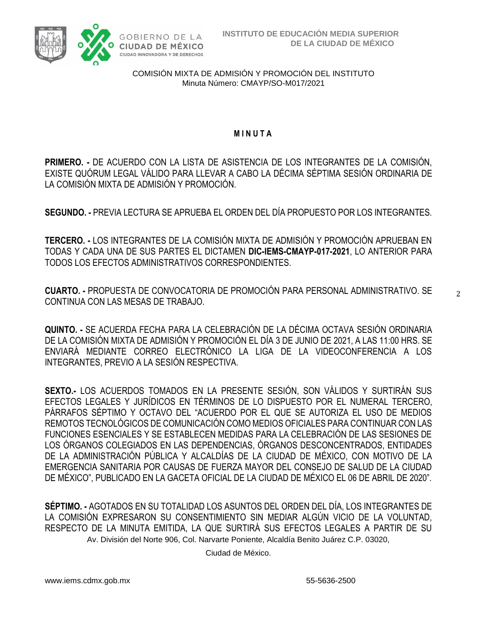

### **M I N U T A**

**PRIMERO. -** DE ACUERDO CON LA LISTA DE ASISTENCIA DE LOS INTEGRANTES DE LA COMISIÓN, EXISTE QUÓRUM LEGAL VÁLIDO PARA LLEVAR A CABO LA DÉCIMA SÉPTIMA SESIÓN ORDINARIA DE LA COMISIÓN MIXTA DE ADMISIÓN Y PROMOCIÓN.

**SEGUNDO. -** PREVIA LECTURA SE APRUEBA EL ORDEN DEL DÍA PROPUESTO POR LOS INTEGRANTES.

**TERCERO. -** LOS INTEGRANTES DE LA COMISIÓN MIXTA DE ADMISIÓN Y PROMOCIÓN APRUEBAN EN TODAS Y CADA UNA DE SUS PARTES EL DICTAMEN **DIC-IEMS-CMAYP-017-2021**, LO ANTERIOR PARA TODOS LOS EFECTOS ADMINISTRATIVOS CORRESPONDIENTES.

**CUARTO. -** PROPUESTA DE CONVOCATORIA DE PROMOCIÓN PARA PERSONAL ADMINISTRATIVO. SE CONTINUA CON LAS MESAS DE TRABAJO.

2

**QUINTO. -** SE ACUERDA FECHA PARA LA CELEBRACIÓN DE LA DÉCIMA OCTAVA SESIÓN ORDINARIA DE LA COMISIÓN MIXTA DE ADMISIÓN Y PROMOCIÓN EL DÍA 3 DE JUNIO DE 2021, A LAS 11:00 HRS. SE ENVIARÁ MEDIANTE CORREO ELECTRÓNICO LA LIGA DE LA VIDEOCONFERENCIA A LOS INTEGRANTES, PREVIO A LA SESIÓN RESPECTIVA.

**SEXTO.-** LOS ACUERDOS TOMADOS EN LA PRESENTE SESIÓN, SON VÁLIDOS Y SURTIRÁN SUS EFECTOS LEGALES Y JURÍDICOS EN TÉRMINOS DE LO DISPUESTO POR EL NUMERAL TERCERO, PÁRRAFOS SÉPTIMO Y OCTAVO DEL "ACUERDO POR EL QUE SE AUTORIZA EL USO DE MEDIOS REMOTOS TECNOLÓGICOS DE COMUNICACIÓN COMO MEDIOS OFICIALES PARA CONTINUAR CON LAS FUNCIONES ESENCIALES Y SE ESTABLECEN MEDIDAS PARA LA CELEBRACIÓN DE LAS SESIONES DE LOS ÓRGANOS COLEGIADOS EN LAS DEPENDENCIAS, ÓRGANOS DESCONCENTRADOS, ENTIDADES DE LA ADMINISTRACIÓN PÚBLICA Y ALCALDÍAS DE LA CIUDAD DE MÉXICO, CON MOTIVO DE LA EMERGENCIA SANITARIA POR CAUSAS DE FUERZA MAYOR DEL CONSEJO DE SALUD DE LA CIUDAD DE MÉXICO", PUBLICADO EN LA GACETA OFICIAL DE LA CIUDAD DE MÉXICO EL 06 DE ABRIL DE 2020".

Av. División del Norte 906, Col. Narvarte Poniente, Alcaldía Benito Juárez C.P. 03020, **SÉPTIMO. -** AGOTADOS EN SU TOTALIDAD LOS ASUNTOS DEL ORDEN DEL DÍA, LOS INTEGRANTES DE LA COMISIÓN EXPRESARON SU CONSENTIMIENTO SIN MEDIAR ALGÚN VICIO DE LA VOLUNTAD, RESPECTO DE LA MINUTA EMITIDA, LA QUE SURTIRÁ SUS EFECTOS LEGALES A PARTIR DE SU

Ciudad de México.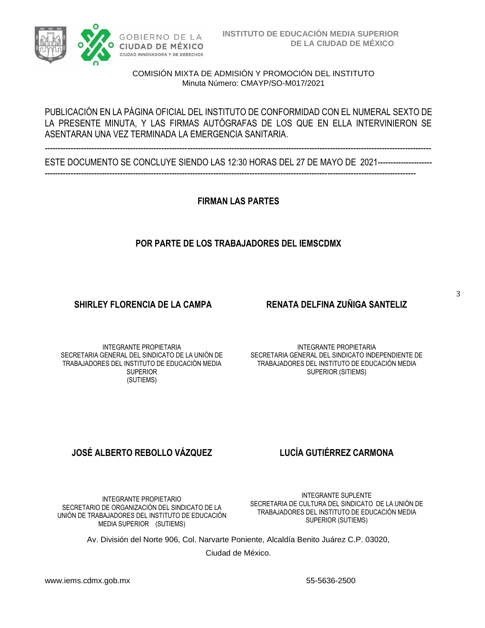

### PUBLICACIÓN EN LA PÁGINA OFICIAL DEL INSTITUTO DE CONFORMIDAD CON EL NUMERAL SEXTO DE LA PRESENTE MINUTA, Y LAS FIRMAS AUTÓGRAFAS DE LOS QUE EN ELLA INTERVINIERON SE ASENTARAN UNA VEZ TERMINADA LA EMERGENCIA SANITARIA.

----------------------------------------------------------------------------------------------------------------------------------------------------- ESTE DOCUMENTO SE CONCLUYE SIENDO LAS 12:30 HORAS DEL 27 DE MAYO DE 2021---------------------

-----------------------------------------------------------------------------------------------------------------------------------------------

**FIRMAN LAS PARTES**

## **POR PARTE DE LOS TRABAJADORES DEL IEMSCDMX**

## **SHIRLEY FLORENCIA DE LA CAMPA RENATA DELFINA ZUÑIGA SANTELIZ**

3

INTEGRANTE PROPIETARIA SECRETARIA GENERAL DEL SINDICATO DE LA UNIÓN DE TRABAJADORES DEL INSTITUTO DE EDUCACIÓN MEDIA SUPERIOR (SUTIEMS)

INTEGRANTE PROPIETARIA SECRETARIA GENERAL DEL SINDICATO INDEPENDIENTE DE TRABAJADORES DEL INSTITUTO DE EDUCACIÓN MEDIA SUPERIOR (SITIEMS)

# **JOSÉ ALBERTO REBOLLO VÁZQUEZ LUCÍA GUTIÉRREZ CARMONA**

INTEGRANTE PROPIETARIO SECRETARIO DE ORGANIZACIÓN DEL SINDICATO DE LA UNIÓN DE TRABAJADORES DEL INSTITUTO DE EDUCACIÓN MEDIA SUPERIOR (SUTIEMS)

INTEGRANTE SUPLENTE SECRETARIA DE CULTURA DEL SINDICATO DE LA UNIÓN DE TRABAJADORES DEL INSTITUTO DE EDUCACIÓN MEDIA SUPERIOR (SUTIEMS)

Av. División del Norte 906, Col. Narvarte Poniente, Alcaldía Benito Juárez C.P. 03020,

Ciudad de México.